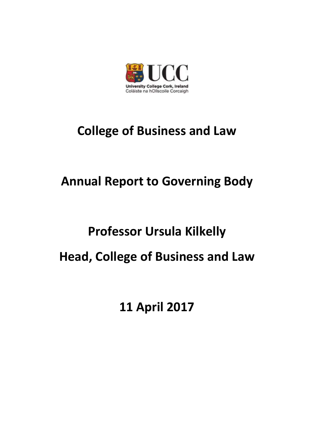

## **College of Business and Law**

## **Annual Report to Governing Body**

# **Professor Ursula Kilkelly**

### **Head, College of Business and Law**

**11 April 2017**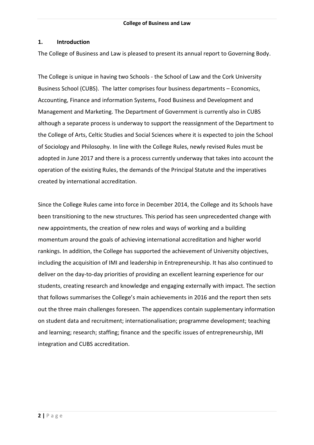#### **1. Introduction**

The College of Business and Law is pleased to present its annual report to Governing Body.

The College is unique in having two Schools - the School of Law and the Cork University Business School (CUBS). The latter comprises four business departments – Economics, Accounting, Finance and information Systems, Food Business and Development and Management and Marketing. The Department of Government is currently also in CUBS although a separate process is underway to support the reassignment of the Department to the College of Arts, Celtic Studies and Social Sciences where it is expected to join the School of Sociology and Philosophy. In line with the College Rules, newly revised Rules must be adopted in June 2017 and there is a process currently underway that takes into account the operation of the existing Rules, the demands of the Principal Statute and the imperatives created by international accreditation.

Since the College Rules came into force in December 2014, the College and its Schools have been transitioning to the new structures. This period has seen unprecedented change with new appointments, the creation of new roles and ways of working and a building momentum around the goals of achieving international accreditation and higher world rankings. In addition, the College has supported the achievement of University objectives, including the acquisition of IMI and leadership in Entrepreneurship. It has also continued to deliver on the day-to-day priorities of providing an excellent learning experience for our students, creating research and knowledge and engaging externally with impact. The section that follows summarises the College's main achievements in 2016 and the report then sets out the three main challenges foreseen. The appendices contain supplementary information on student data and recruitment; internationalisation; programme development; teaching and learning; research; staffing; finance and the specific issues of entrepreneurship, IMI integration and CUBS accreditation.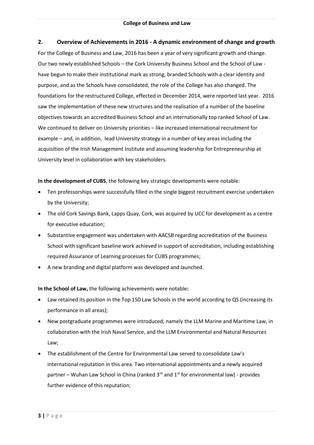#### **2. Overview of Achievements in 2016 - A dynamic environment of change and growth**

For the College of Business and Law, 2016 has been a year of very significant growth and change. Our two newly established Schools – the Cork University Business School and the School of Law have begun to make their institutional mark as strong, branded Schools with a clear identity and purpose, and as the Schools have consolidated, the role of the College has also changed. The foundations for the restructured College, effected in December 2014, were reported last year. 2016 saw the implementation of these new structures and the realisation of a number of the baseline objectives towards an accredited Business School and an internationally top ranked School of Law. We continued to deliver on University priorities – like increased international recruitment for example – and, in addition, lead University strategy in a number of key areas including the acquisition of the Irish Management Institute and assuming leadership for Entrepreneurship at University level in collaboration with key stakeholders.

#### **In the development of CUBS**, the following key strategic developments were notable:

- Ten professorships were successfully filled in the single biggest recruitment exercise undertaken by the University;
- The old Cork Savings Bank, Lapps Quay, Cork, was acquired by UCC for development as a centre for executive education;
- Substantive engagement was undertaken with AACSB regarding accreditation of the Business School with significant baseline work achieved in support of accreditation, including establishing required Assurance of Learning processes for CUBS programmes;
- A new branding and digital platform was developed and launched.

**In the School of Law,** the following achievements were notable**:**

- Law retained its position in the Top 150 Law Schools in the world according to QS (increasing its performance in all areas);
- New postgraduate programmes were introduced, namely the LLM Marine and Maritime Law, in collaboration with the Irish Naval Service, and the LLM Environmental and Natural Resources Law;
- The establishment of the Centre for Environmental Law served to consolidate Law's international reputation in this area. Two international appointments and a newly acquired partner – Wuhan Law School in China (ranked  $3^{rd}$  and  $1^{st}$  for environmental law) - provides further evidence of this reputation;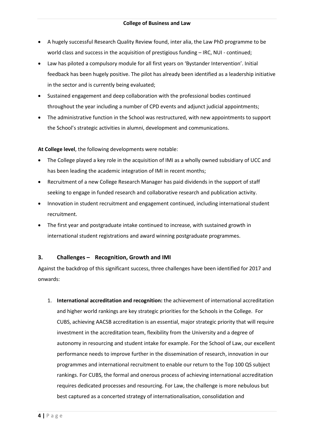- A hugely successful Research Quality Review found, inter alia, the Law PhD programme to be world class and success in the acquisition of prestigious funding – IRC, NUI - continued;
- Law has piloted a compulsory module for all first years on 'Bystander Intervention'. Initial feedback has been hugely positive. The pilot has already been identified as a leadership initiative in the sector and is currently being evaluated;
- Sustained engagement and deep collaboration with the professional bodies continued throughout the year including a number of CPD events and adjunct judicial appointments;
- The administrative function in the School was restructured, with new appointments to support the School's strategic activities in alumni, development and communications.

**At College level**, the following developments were notable:

- The College played a key role in the acquisition of IMI as a wholly owned subsidiary of UCC and has been leading the academic integration of IMI in recent months;
- Recruitment of a new College Research Manager has paid dividends in the support of staff seeking to engage in funded research and collaborative research and publication activity.
- Innovation in student recruitment and engagement continued, including international student recruitment.
- The first year and postgraduate intake continued to increase, with sustained growth in international student registrations and award winning postgraduate programmes.

#### **3. Challenges – Recognition, Growth and IMI**

Against the backdrop of this significant success, three challenges have been identified for 2017 and onwards:

1. **International accreditation and recognition:** the achievement of international accreditation and higher world rankings are key strategic priorities for the Schools in the College. For CUBS, achieving AACSB accreditation is an essential, major strategic priority that will require investment in the accreditation team, flexibility from the University and a degree of autonomy in resourcing and student intake for example. For the School of Law, our excellent performance needs to improve further in the dissemination of research, innovation in our programmes and international recruitment to enable our return to the Top 100 QS subject rankings. For CUBS, the formal and onerous process of achieving international accreditation requires dedicated processes and resourcing. For Law, the challenge is more nebulous but best captured as a concerted strategy of internationalisation, consolidation and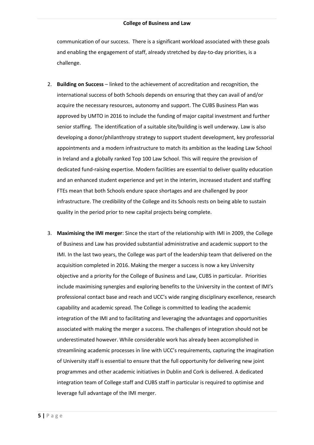communication of our success. There is a significant workload associated with these goals and enabling the engagement of staff, already stretched by day-to-day priorities, is a challenge.

- 2. **Building on Success** linked to the achievement of accreditation and recognition, the international success of both Schools depends on ensuring that they can avail of and/or acquire the necessary resources, autonomy and support. The CUBS Business Plan was approved by UMTO in 2016 to include the funding of major capital investment and further senior staffing. The identification of a suitable site/building is well underway. Law is also developing a donor/philanthropy strategy to support student development, key professorial appointments and a modern infrastructure to match its ambition as the leading Law School in Ireland and a globally ranked Top 100 Law School. This will require the provision of dedicated fund-raising expertise. Modern facilities are essential to deliver quality education and an enhanced student experience and yet in the interim, increased student and staffing FTEs mean that both Schools endure space shortages and are challenged by poor infrastructure. The credibility of the College and its Schools rests on being able to sustain quality in the period prior to new capital projects being complete.
- 3. **Maximising the IMI merger**: Since the start of the relationship with IMI in 2009, the College of Business and Law has provided substantial administrative and academic support to the IMI. In the last two years, the College was part of the leadership team that delivered on the acquisition completed in 2016. Making the merger a success is now a key University objective and a priority for the College of Business and Law, CUBS in particular. Priorities include maximising synergies and exploring benefits to the University in the context of IMI's professional contact base and reach and UCC's wide ranging disciplinary excellence, research capability and academic spread. The College is committed to leading the academic integration of the IMI and to facilitating and leveraging the advantages and opportunities associated with making the merger a success. The challenges of integration should not be underestimated however. While considerable work has already been accomplished in streamlining academic processes in line with UCC's requirements, capturing the imagination of University staff is essential to ensure that the full opportunity for delivering new joint programmes and other academic initiatives in Dublin and Cork is delivered. A dedicated integration team of College staff and CUBS staff in particular is required to optimise and leverage full advantage of the IMI merger.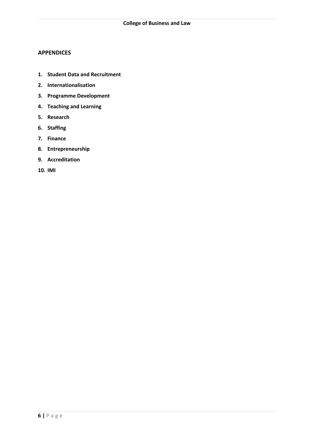#### **APPENDICES**

- **1. Student Data and Recruitment**
- **2. Internationalisation**
- **3. Programme Development**
- **4. Teaching and Learning**
- **5. Research**
- **6. Staffing**
- **7. Finance**
- **8. Entrepreneurship**
- **9. Accreditation**
- **10. IMI**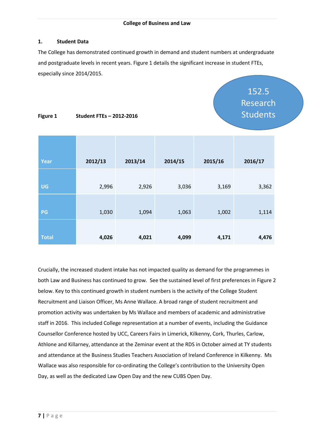#### **1. Student Data**

The College has demonstrated continued growth in demand and student numbers at undergraduate and postgraduate levels in recent years. Figure 1 details the significant increase in student FTEs, especially since 2014/2015.

> 152.5 Research Students

#### **Figure 1 Student FTEs – 2012-2016**

| Year         | 2012/13 | 2013/14 | 2014/15 | 2015/16 | 2016/17 |
|--------------|---------|---------|---------|---------|---------|
|              |         |         |         |         |         |
| <b>UG</b>    | 2,996   | 2,926   | 3,036   | 3,169   | 3,362   |
|              |         |         |         |         |         |
| PG           | 1,030   | 1,094   | 1,063   | 1,002   | 1,114   |
|              |         |         |         |         |         |
| <b>Total</b> | 4,026   | 4,021   | 4,099   | 4,171   | 4,476   |

Crucially, the increased student intake has not impacted quality as demand for the programmes in both Law and Business has continued to grow. See the sustained level of first preferences in Figure 2 below. Key to this continued growth in student numbers is the activity of the College Student Recruitment and Liaison Officer, Ms Anne Wallace. A broad range of student recruitment and promotion activity was undertaken by Ms Wallace and members of academic and administrative staff in 2016. This included College representation at a number of events, including the Guidance Counsellor Conference hosted by UCC, Careers Fairs in Limerick, Kilkenny, Cork, Thurles, Carlow, Athlone and Killarney, attendance at the Zeminar event at the RDS in October aimed at TY students and attendance at the Business Studies Teachers Association of Ireland Conference in Kilkenny. Ms Wallace was also responsible for co-ordinating the College's contribution to the University Open Day, as well as the dedicated Law Open Day and the new CUBS Open Day.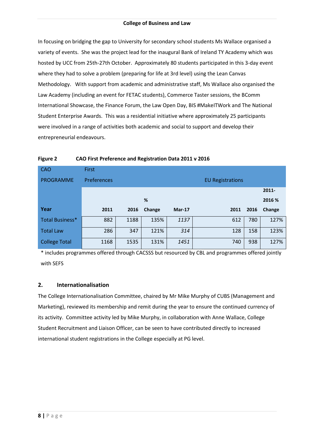#### **College of Business and Law**

In focusing on bridging the gap to University for secondary school students Ms Wallace organised a variety of events. She was the project lead for the inaugural Bank of Ireland TY Academy which was hosted by UCC from 25th-27th October. Approximately 80 students participated in this 3-day event where they had to solve a problem (preparing for life at 3rd level) using the Lean Canvas Methodology. With support from academic and administrative staff, Ms Wallace also organised the Law Academy (including an event for FETAC students), Commerce Taster sessions, the BComm International Showcase, the Finance Forum, the Law Open Day, BIS #MakeITWork and The National Student Enterprise Awards. This was a residential initiative where approximately 25 participants were involved in a range of activities both academic and social to support and develop their entrepreneurial endeavours.

| <b>CAO</b>             | <b>First</b>                           |      |        |          |      |      |          |
|------------------------|----------------------------------------|------|--------|----------|------|------|----------|
| <b>PROGRAMME</b>       | Preferences<br><b>EU Registrations</b> |      |        |          |      |      |          |
|                        |                                        |      |        |          |      |      | $2011 -$ |
|                        |                                        |      | %      |          |      |      | 2016 %   |
| Year                   | 2011                                   | 2016 | Change | $Mar-17$ | 2011 | 2016 | Change   |
| <b>Total Business*</b> | 882                                    | 1188 | 135%   | 1137     | 612  | 780  | 127%     |
| <b>Total Law</b>       | 286                                    | 347  | 121%   | 314      | 128  | 158  | 123%     |
| <b>College Total</b>   | 1168                                   | 1535 | 131%   | 1451     | 740  | 938  | 127%     |

\* includes programmes offered through CACSSS but resourced by CBL and programmes offered jointly with SEFS

#### **2. Internationalisation**

The College Internationalisation Committee, chaired by Mr Mike Murphy of CUBS (Management and Marketing), reviewed its membership and remit during the year to ensure the continued currency of its activity. Committee activity led by Mike Murphy, in collaboration with Anne Wallace, College Student Recruitment and Liaison Officer, can be seen to have contributed directly to increased international student registrations in the College especially at PG level.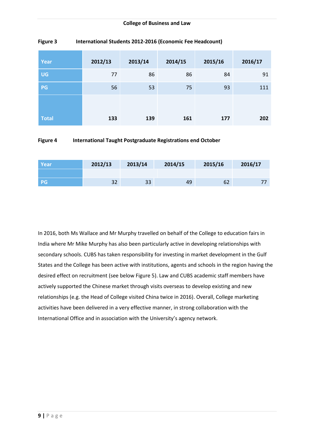#### **College of Business and Law**

| Year         | 2012/13 | 2013/14 | 2014/15 | 2015/16 | 2016/17 |
|--------------|---------|---------|---------|---------|---------|
| <b>UG</b>    | 77      | 86      | 86      | 84      | 91      |
| PG           | 56      | 53      | 75      | 93      | 111     |
| <b>Total</b> | 133     | 139     | 161     | 177     | 202     |

#### **Figure 3 International Students 2012-2016 (Economic Fee Headcount)**

#### **Figure 4 International Taught Postgraduate Registrations end October**

| Year      | 2012/13 | 2013/14 | 2014/15 | 2015/16 | 2016/17 |
|-----------|---------|---------|---------|---------|---------|
|           |         |         |         |         |         |
| <b>PG</b> | 32      | 33      | 49      | 62      |         |

In 2016, both Ms Wallace and Mr Murphy travelled on behalf of the College to education fairs in India where Mr Mike Murphy has also been particularly active in developing relationships with secondary schools. CUBS has taken responsibility for investing in market development in the Gulf States and the College has been active with institutions, agents and schools in the region having the desired effect on recruitment (see below Figure 5). Law and CUBS academic staff members have actively supported the Chinese market through visits overseas to develop existing and new relationships (e.g. the Head of College visited China twice in 2016). Overall, College marketing activities have been delivered in a very effective manner, in strong collaboration with the International Office and in association with the University's agency network.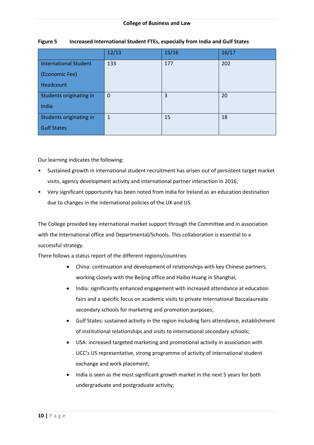|                              | 12/13        | 15/16 | 16/17 |
|------------------------------|--------------|-------|-------|
| <b>International Student</b> | 133          | 177   | 202   |
| (Economic Fee)               |              |       |       |
| Headcount                    |              |       |       |
| Students originating in      | $\mathbf 0$  | 3     | 20    |
| India                        |              |       |       |
| Students originating in      | $\mathbf{1}$ | 15    | 18    |
| <b>Gulf States</b>           |              |       |       |

#### **Figure 5 Increased International Student FTEs, especially from India and Gulf States**

Our learning indicates the following:

- Sustained growth in international student recruitment has arisen out of persistent target market visits, agency development activity and international partner interaction in 2016;
- Very significant opportunity has been noted from India for Ireland as an education destination due to changes in the international policies of the UK and US.

The College provided key international market support through the Committee and in association with the International office and Departmental/Schools. This collaboration is essential to a successful strategy.

There follows a status report of the different regions/countries:

- China: continuation and development of relationships with key Chinese partners, working closely with the Beijing office and Haibo Huang in Shanghai;
- India: significantly enhanced engagement with increased attendance at education fairs and a specific focus on academic visits to private International Baccalaureate secondary schools for marketing and promotion purposes;
- Gulf States: sustained activity in the region including fairs attendance, establishment of institutional relationships and visits to international secondary schools;
- USA: increased targeted marketing and promotional activity in association with UCC's US representative, strong programme of activity of international student exchange and work placement;
- India is seen as the most significant growth market in the next 5 years for both undergraduate and postgraduate activity;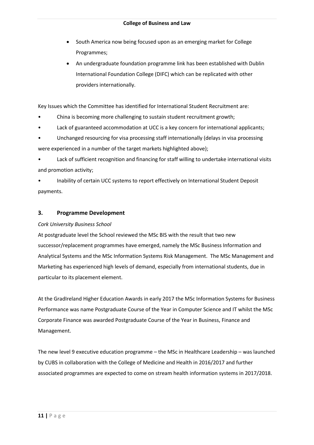- South America now being focused upon as an emerging market for College Programmes;
- An undergraduate foundation programme link has been established with Dublin International Foundation College (DIFC) which can be replicated with other providers internationally.

Key Issues which the Committee has identified for International Student Recruitment are:

- China is becoming more challenging to sustain student recruitment growth;
- Lack of guaranteed accommodation at UCC is a key concern for international applicants;
- Unchanged resourcing for visa processing staff internationally (delays in visa processing were experienced in a number of the target markets highlighted above);

• Lack of sufficient recognition and financing for staff willing to undertake international visits and promotion activity;

• Inability of certain UCC systems to report effectively on International Student Deposit payments.

#### **3. Programme Development**

#### *Cork University Business School*

At postgraduate level the School reviewed the MSc BIS with the result that two new successor/replacement programmes have emerged, namely the MSc Business Information and Analytical Systems and the MSc Information Systems Risk Management. The MSc Management and Marketing has experienced high levels of demand, especially from international students, due in particular to its placement element.

At the GradIreland Higher Education Awards in early 2017 the MSc Information Systems for Business Performance was name Postgraduate Course of the Year in Computer Science and IT whilst the MSc Corporate Finance was awarded Postgraduate Course of the Year in Business, Finance and Management.

The new level 9 executive education programme – the MSc in Healthcare Leadership – was launched by CUBS in collaboration with the College of Medicine and Health in 2016/2017 and further associated programmes are expected to come on stream health information systems in 2017/2018.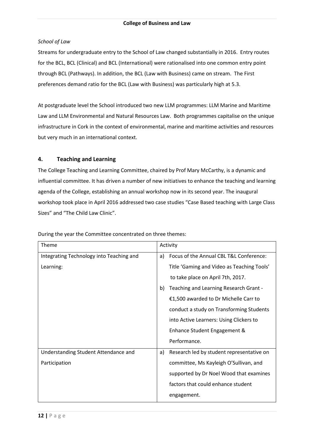#### *School of Law*

Streams for undergraduate entry to the School of Law changed substantially in 2016. Entry routes for the BCL, BCL (Clinical) and BCL (International) were rationalised into one common entry point through BCL (Pathways). In addition, the BCL (Law with Business) came on stream. The First preferences demand ratio for the BCL (Law with Business) was particularly high at 5.3.

At postgraduate level the School introduced two new LLM programmes: LLM Marine and Maritime Law and LLM Environmental and Natural Resources Law. Both programmes capitalise on the unique infrastructure in Cork in the context of environmental, marine and maritime activities and resources but very much in an international context.

#### **4. Teaching and Learning**

The College Teaching and Learning Committee, chaired by Prof Mary McCarthy, is a dynamic and influential committee. It has driven a number of new initiatives to enhance the teaching and learning agenda of the College, establishing an annual workshop now in its second year. The inaugural workshop took place in April 2016 addressed two case studies "Case Based teaching with Large Class Sizes" and "The Child Law Clinic".

| Theme                                    | Activity                                        |
|------------------------------------------|-------------------------------------------------|
| Integrating Technology into Teaching and | Focus of the Annual CBL T&L Conference:<br>a)   |
| Learning:                                | Title 'Gaming and Video as Teaching Tools'      |
|                                          | to take place on April 7th, 2017.               |
|                                          | Teaching and Learning Research Grant -<br>b)    |
|                                          | €1,500 awarded to Dr Michelle Carr to           |
|                                          | conduct a study on Transforming Students        |
|                                          | into Active Learners: Using Clickers to         |
|                                          | Enhance Student Engagement &                    |
|                                          | Performance.                                    |
| Understanding Student Attendance and     | Research led by student representative on<br>a) |
| Participation                            | committee, Ms Kayleigh O'Sullivan, and          |
|                                          | supported by Dr Noel Wood that examines         |
|                                          | factors that could enhance student              |
|                                          | engagement.                                     |

During the year the Committee concentrated on three themes: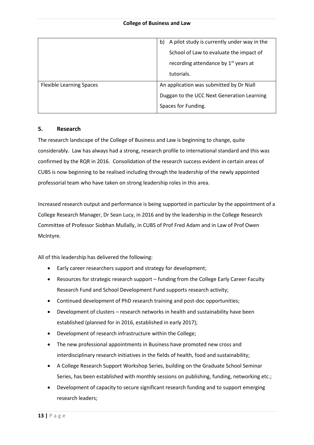|                                 | A pilot study is currently under way in the<br>b) |
|---------------------------------|---------------------------------------------------|
|                                 | School of Law to evaluate the impact of           |
|                                 | recording attendance by 1 <sup>st</sup> years at  |
|                                 | tutorials.                                        |
| <b>Flexible Learning Spaces</b> | An application was submitted by Dr Niall          |
|                                 | Duggan to the UCC Next Generation Learning        |
|                                 | Spaces for Funding.                               |

#### **5. Research**

The research landscape of the College of Business and Law is beginning to change, quite considerably. Law has always had a strong, research profile to international standard and this was confirmed by the RQR in 2016. Consolidation of the research success evident in certain areas of CUBS is now beginning to be realised including through the leadership of the newly appointed professorial team who have taken on strong leadership roles in this area.

Increased research output and performance is being supported in particular by the appointment of a College Research Manager, Dr Sean Lucy, in 2016 and by the leadership in the College Research Committee of Professor Siobhan Mullally, in CUBS of Prof Fred Adam and in Law of Prof Owen McIntyre.

All of this leadership has delivered the following:

- Early career researchers support and strategy for development;
- Resources for strategic research support funding from the College Early Career Faculty Research Fund and School Development Fund supports research activity;
- Continued development of PhD research training and post-doc opportunities;
- Development of clusters research networks in health and sustainability have been established (planned for in 2016, established in early 2017);
- Development of research infrastructure within the College;
- The new professional appointments in Business have promoted new cross and interdisciplinary research initiatives in the fields of health, food and sustainability;
- A College Research Support Workshop Series, building on the Graduate School Seminar Series, has been established with monthly sessions on publishing, funding, networking etc.;
- Development of capacity to secure significant research funding and to support emerging research leaders;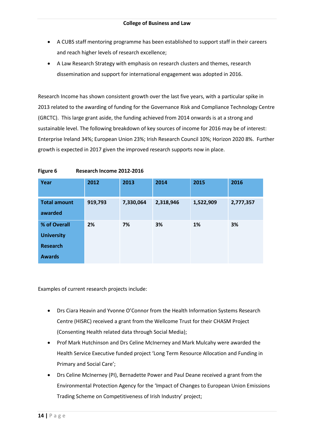- A CUBS staff mentoring programme has been established to support staff in their careers and reach higher levels of research excellence;
- A Law Research Strategy with emphasis on research clusters and themes, research dissemination and support for international engagement was adopted in 2016.

Research Income has shown consistent growth over the last five years, with a particular spike in 2013 related to the awarding of funding for the Governance Risk and Compliance Technology Centre (GRCTC). This large grant aside, the funding achieved from 2014 onwards is at a strong and sustainable level. The following breakdown of key sources of income for 2016 may be of interest: Enterprise Ireland 34%; European Union 23%; Irish Research Council 10%; Horizon 2020 8%. Further growth is expected in 2017 given the improved research supports now in place.

| Year                                                 | 2012    | 2013      | 2014      | 2015      | 2016      |
|------------------------------------------------------|---------|-----------|-----------|-----------|-----------|
| <b>Total amount</b><br>awarded                       | 919,793 | 7,330,064 | 2,318,946 | 1,522,909 | 2,777,357 |
| % of Overall<br><b>University</b><br><b>Research</b> | 2%      | 7%        | 3%        | 1%        | 3%        |
| <b>Awards</b>                                        |         |           |           |           |           |

**Figure 6 Research Income 2012-2016**

Examples of current research projects include:

- Drs Ciara Heavin and Yvonne O'Connor from the Health Information Systems Research Centre (HISRC) received a grant from the Wellcome Trust for their CHASM Project (Consenting Health related data through Social Media);
- Prof Mark Hutchinson and Drs Celine McInerney and Mark Mulcahy were awarded the Health Service Executive funded project 'Long Term Resource Allocation and Funding in Primary and Social Care';
- Drs Celine McInerney (PI), Bernadette Power and Paul Deane received a grant from the Environmental Protection Agency for the 'Impact of Changes to European Union Emissions Trading Scheme on Competitiveness of Irish Industry' project;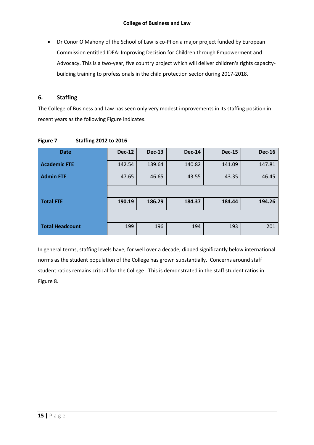Dr Conor O'Mahony of the School of Law is co-PI on a major project funded by European Commission entitled IDEA: Improving Decision for Children through Empowerment and Advocacy. This is a two-year, five country project which will deliver children's rights capacitybuilding training to professionals in the child protection sector during 2017-2018.

#### **6. Staffing**

The College of Business and Law has seen only very modest improvements in its staffing position in recent years as the following Figure indicates.

| <b>Date</b>            | <b>Dec-12</b> | <b>Dec-13</b> | <b>Dec-14</b> | <b>Dec-15</b> | <b>Dec-16</b> |
|------------------------|---------------|---------------|---------------|---------------|---------------|
| <b>Academic FTE</b>    | 142.54        | 139.64        | 140.82        | 141.09        | 147.81        |
| <b>Admin FTE</b>       | 47.65         | 46.65         | 43.55         | 43.35         | 46.45         |
|                        |               |               |               |               |               |
| <b>Total FTE</b>       | 190.19        | 186.29        | 184.37        | 184.44        | 194.26        |
|                        |               |               |               |               |               |
| <b>Total Headcount</b> | 199           | 196           | 194           | 193           | 201           |

**Figure 7 Staffing 2012 to 2016**

In general terms, staffing levels have, for well over a decade, dipped significantly below international norms as the student population of the College has grown substantially. Concerns around staff student ratios remains critical for the College. This is demonstrated in the staff student ratios in Figure 8.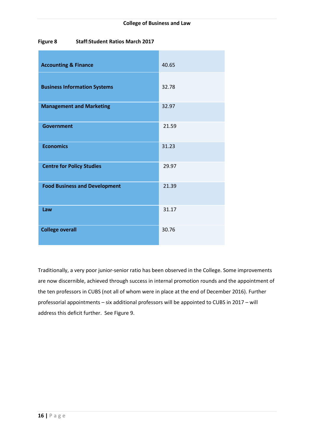#### **Figure 8 Staff:Student Ratios March 2017**

| <b>Accounting &amp; Finance</b>      | 40.65 |
|--------------------------------------|-------|
| <b>Business Information Systems</b>  | 32.78 |
| <b>Management and Marketing</b>      | 32.97 |
| <b>Government</b>                    | 21.59 |
| <b>Economics</b>                     | 31.23 |
| <b>Centre for Policy Studies</b>     | 29.97 |
| <b>Food Business and Development</b> | 21.39 |
| Law                                  | 31.17 |
| <b>College overall</b>               | 30.76 |

Traditionally, a very poor junior-senior ratio has been observed in the College. Some improvements are now discernible, achieved through success in internal promotion rounds and the appointment of the ten professors in CUBS (not all of whom were in place at the end of December 2016). Further professorial appointments – six additional professors will be appointed to CUBS in 2017 – will address this deficit further. See Figure 9.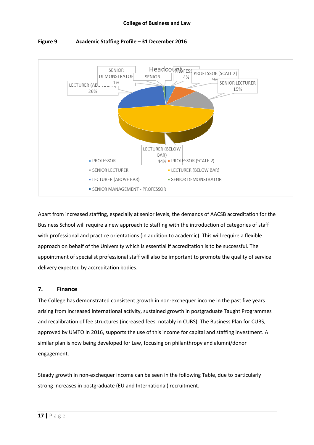

#### **Figure 9 Academic Staffing Profile – 31 December 2016**

Apart from increased staffing, especially at senior levels, the demands of AACSB accreditation for the Business School will require a new approach to staffing with the introduction of categories of staff with professional and practice orientations (in addition to academic). This will require a flexible approach on behalf of the University which is essential if accreditation is to be successful. The appointment of specialist professional staff will also be important to promote the quality of service delivery expected by accreditation bodies.

#### **7. Finance**

The College has demonstrated consistent growth in non-exchequer income in the past five years arising from increased international activity, sustained growth in postgraduate Taught Programmes and recalibration of fee structures (increased fees, notably in CUBS). The Business Plan for CUBS, approved by UMTO in 2016, supports the use of this income for capital and staffing investment. A similar plan is now being developed for Law, focusing on philanthropy and alumni/donor engagement.

Steady growth in non-exchequer income can be seen in the following Table, due to particularly strong increases in postgraduate (EU and International) recruitment.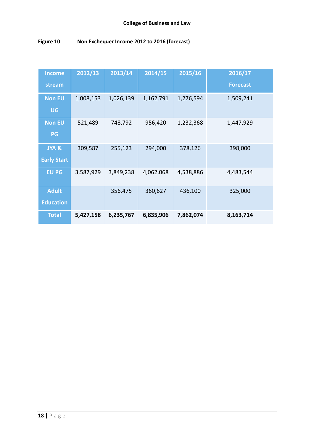| Figure 10 |  | Non Exchequer Income 2012 to 2016 (forecast) |
|-----------|--|----------------------------------------------|
|           |  |                                              |

| <b>Income</b>      | 2012/13   | 2013/14   | 2014/15   | 2015/16   | 2016/17         |
|--------------------|-----------|-----------|-----------|-----------|-----------------|
| stream             |           |           |           |           | <b>Forecast</b> |
| <b>Non EU</b>      | 1,008,153 | 1,026,139 | 1,162,791 | 1,276,594 | 1,509,241       |
| <b>UG</b>          |           |           |           |           |                 |
| <b>Non EU</b>      | 521,489   | 748,792   | 956,420   | 1,232,368 | 1,447,929       |
| PG                 |           |           |           |           |                 |
| JYA &              | 309,587   | 255,123   | 294,000   | 378,126   | 398,000         |
| <b>Early Start</b> |           |           |           |           |                 |
| <b>EU PG</b>       | 3,587,929 | 3,849,238 | 4,062,068 | 4,538,886 | 4,483,544       |
| <b>Adult</b>       |           | 356,475   | 360,627   | 436,100   | 325,000         |
| <b>Education</b>   |           |           |           |           |                 |
| <b>Total</b>       | 5,427,158 | 6,235,767 | 6,835,906 | 7,862,074 | 8,163,714       |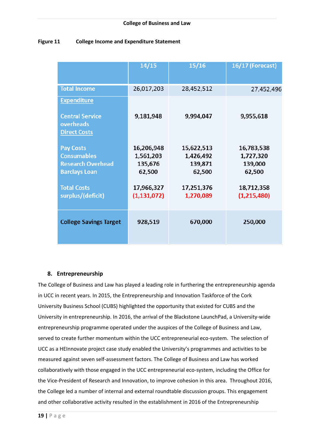#### **Figure 11 College Income and Expenditure Statement**

|                                                           | 14/15         | 15/16      | 16/17 (Forecast) |
|-----------------------------------------------------------|---------------|------------|------------------|
| <b>Total Income</b>                                       | 26,017,203    | 28,452,512 | 27,452,496       |
| <b>Expenditure</b><br><b>Central Service</b><br>overheads | 9,181,948     | 9,994,047  | 9,955,618        |
| <b>Direct Costs</b>                                       |               |            |                  |
| <b>Pay Costs</b>                                          | 16,206,948    | 15,622,513 | 16,783,538       |
| <b>Consumables</b>                                        | 1,561,203     | 1,426,492  | 1,727,320        |
| <b>Research Overhead</b>                                  | 135,676       | 139,871    | 139,000          |
| <b>Barclays Loan</b>                                      | 62,500        | 62,500     | 62,500           |
| <b>Total Costs</b>                                        | 17,966,327    | 17,251,376 | 18,712,358       |
| surplus/(deficit)                                         | (1, 131, 072) | 1,270,089  | (1,215,480)      |
| <b>College Savings Target</b>                             | 928,519       | 670,000    | 250,000          |

#### **8. Entrepreneurship**

The College of Business and Law has played a leading role in furthering the entrepreneurship agenda in UCC in recent years. In 2015, the Entrepreneurship and Innovation Taskforce of the Cork University Business School (CUBS) highlighted the opportunity that existed for CUBS and the University in entrepreneurship. In 2016, the arrival of the Blackstone LaunchPad, a University-wide entrepreneurship programme operated under the auspices of the College of Business and Law, served to create further momentum within the UCC entrepreneurial eco-system. The selection of UCC as a HEInnovate project case study enabled the University's programmes and activities to be measured against seven self-assessment factors. The College of Business and Law has worked collaboratively with those engaged in the UCC entrepreneurial eco-system, including the Office for the Vice-President of Research and Innovation, to improve cohesion in this area. Throughout 2016, the College led a number of internal and external roundtable discussion groups. This engagement and other collaborative activity resulted in the establishment in 2016 of the Entrepreneurship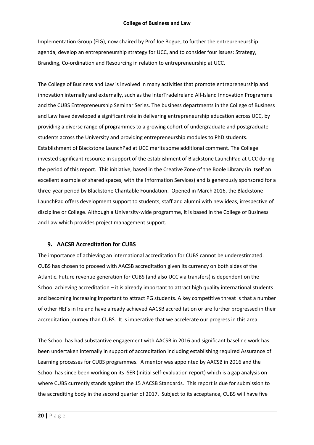Implementation Group (EIG), now chaired by Prof Joe Bogue, to further the entrepreneurship agenda, develop an entrepreneurship strategy for UCC, and to consider four issues: Strategy, Branding, Co-ordination and Resourcing in relation to entrepreneurship at UCC.

The College of Business and Law is involved in many activities that promote entrepreneurship and innovation internally and externally, such as the InterTradeIreland All-Island Innovation Programme and the CUBS Entrepreneurship Seminar Series. The business departments in the College of Business and Law have developed a significant role in delivering entrepreneurship education across UCC, by providing a diverse range of programmes to a growing cohort of undergraduate and postgraduate students across the University and providing entrepreneurship modules to PhD students. Establishment of Blackstone LaunchPad at UCC merits some additional comment. The College invested significant resource in support of the establishment of Blackstone LaunchPad at UCC during the period of this report. This initiative, based in the Creative Zone of the Boole Library (in itself an excellent example of shared spaces, with the Information Services) and is generously sponsored for a three-year period by Blackstone Charitable Foundation. Opened in March 2016, the Blackstone LaunchPad offers development support to students, staff and alumni with new ideas, irrespective of discipline or College. Although a University-wide programme, it is based in the College of Business and Law which provides project management support.

#### **9. AACSB Accreditation for CUBS**

The importance of achieving an international accreditation for CUBS cannot be underestimated. CUBS has chosen to proceed with AACSB accreditation given its currency on both sides of the Atlantic. Future revenue generation for CUBS (and also UCC via transfers) is dependent on the School achieving accreditation – it is already important to attract high quality international students and becoming increasing important to attract PG students. A key competitive threat is that a number of other HEI's in Ireland have already achieved AACSB accreditation or are further progressed in their accreditation journey than CUBS. It is imperative that we accelerate our progress in this area.

The School has had substantive engagement with AACSB in 2016 and significant baseline work has been undertaken internally in support of accreditation including establishing required Assurance of Learning processes for CUBS programmes. A mentor was appointed by AACSB in 2016 and the School has since been working on its iSER (initial self-evaluation report) which is a gap analysis on where CUBS currently stands against the 15 AACSB Standards. This report is due for submission to the accrediting body in the second quarter of 2017. Subject to its acceptance, CUBS will have five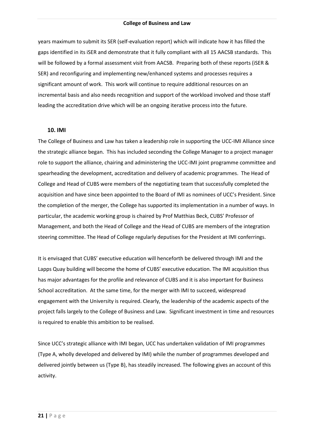years maximum to submit its SER (self-evaluation report) which will indicate how it has filled the gaps identified in its iSER and demonstrate that it fully compliant with all 15 AACSB standards. This will be followed by a formal assessment visit from AACSB. Preparing both of these reports (iSER & SER) and reconfiguring and implementing new/enhanced systems and processes requires a significant amount of work. This work will continue to require additional resources on an incremental basis and also needs recognition and support of the workload involved and those staff leading the accreditation drive which will be an ongoing iterative process into the future.

#### **10. IMI**

The College of Business and Law has taken a leadership role in supporting the UCC-IMI Alliance since the strategic alliance began. This has included seconding the College Manager to a project manager role to support the alliance, chairing and administering the UCC-IMI joint programme committee and spearheading the development, accreditation and delivery of academic programmes. The Head of College and Head of CUBS were members of the negotiating team that successfully completed the acquisition and have since been appointed to the Board of IMI as nominees of UCC's President. Since the completion of the merger, the College has supported its implementation in a number of ways. In particular, the academic working group is chaired by Prof Matthias Beck, CUBS' Professor of Management, and both the Head of College and the Head of CUBS are members of the integration steering committee. The Head of College regularly deputises for the President at IMI conferrings.

It is envisaged that CUBS' executive education will henceforth be delivered through IMI and the Lapps Quay building will become the home of CUBS' executive education. The IMI acquisition thus has major advantages for the profile and relevance of CUBS and it is also important for Business School accreditation. At the same time, for the merger with IMI to succeed, widespread engagement with the University is required. Clearly, the leadership of the academic aspects of the project falls largely to the College of Business and Law. Significant investment in time and resources is required to enable this ambition to be realised.

Since UCC's strategic alliance with IMI began, UCC has undertaken validation of IMI programmes (Type A, wholly developed and delivered by IMI) while the number of programmes developed and delivered jointly between us (Type B), has steadily increased. The following gives an account of this activity.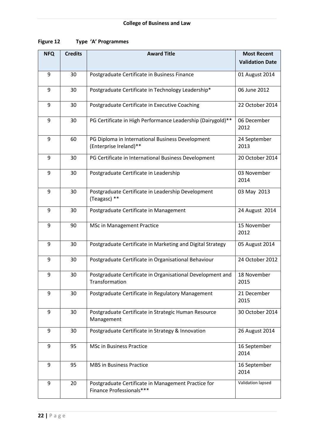| Figure 12<br>Type 'A' Programmes |
|----------------------------------|
|----------------------------------|

| <b>NFQ</b>       | <b>Credits</b> | <b>Award Title</b>                                                              | <b>Most Recent</b>     |
|------------------|----------------|---------------------------------------------------------------------------------|------------------------|
|                  |                |                                                                                 | <b>Validation Date</b> |
| $\boldsymbol{9}$ | 30             | Postgraduate Certificate in Business Finance                                    | 01 August 2014         |
| 9                | 30             | Postgraduate Certificate in Technology Leadership*                              | 06 June 2012           |
| 9                | 30             | Postgraduate Certificate in Executive Coaching                                  | 22 October 2014        |
| 9                | 30             | PG Certificate in High Performance Leadership (Dairygold)**                     | 06 December<br>2012    |
| 9                | 60             | PG Diploma in International Business Development<br>(Enterprise Ireland)**      | 24 September<br>2013   |
| 9                | 30             | PG Certificate in International Business Development                            | 20 October 2014        |
| $9\,$            | 30             | Postgraduate Certificate in Leadership                                          | 03 November<br>2014    |
| 9                | 30             | Postgraduate Certificate in Leadership Development<br>(Teagasc) **              | 03 May 2013            |
| 9                | 30             | Postgraduate Certificate in Management                                          | 24 August 2014         |
| 9                | 90             | MSc in Management Practice                                                      | 15 November<br>2012    |
| 9                | 30             | Postgraduate Certificate in Marketing and Digital Strategy                      | 05 August 2014         |
| 9                | 30             | Postgraduate Certificate in Organisational Behaviour                            | 24 October 2012        |
| 9                | 30             | Postgraduate Certificate in Organisational Development and<br>Transformation    | 18 November<br>2015    |
| 9                | 30             | Postgraduate Certificate in Regulatory Management                               | 21 December<br>2015    |
| 9                | 30             | Postgraduate Certificate in Strategic Human Resource<br>Management              | 30 October 2014        |
| 9                | 30             | Postgraduate Certificate in Strategy & Innovation                               | 26 August 2014         |
| 9                | 95             | <b>MSc in Business Practice</b>                                                 | 16 September<br>2014   |
| 9                | 95             | <b>MBS in Business Practice</b>                                                 | 16 September<br>2014   |
| 9                | 20             | Postgraduate Certificate in Management Practice for<br>Finance Professionals*** | Validation lapsed      |